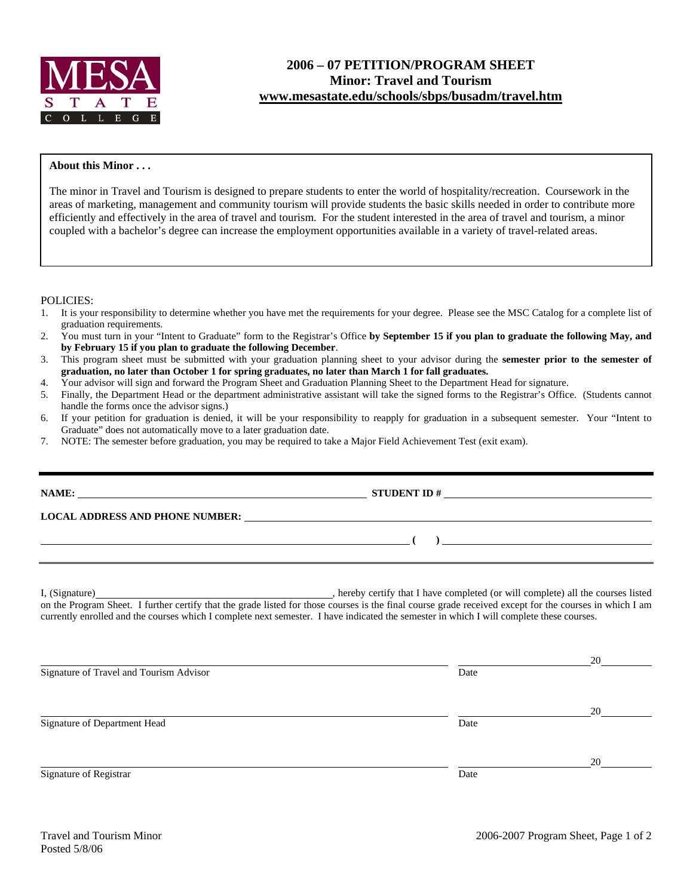

## **About this Minor . . .**

The minor in Travel and Tourism is designed to prepare students to enter the world of hospitality/recreation. Coursework in the areas of marketing, management and community tourism will provide students the basic skills needed in order to contribute more efficiently and effectively in the area of travel and tourism. For the student interested in the area of travel and tourism, a minor coupled with a bachelor's degree can increase the employment opportunities available in a variety of travel-related areas.

POLICIES:

- 1. It is your responsibility to determine whether you have met the requirements for your degree. Please see the MSC Catalog for a complete list of graduation requirements.
- 2. You must turn in your "Intent to Graduate" form to the Registrar's Office **by September 15 if you plan to graduate the following May, and by February 15 if you plan to graduate the following December**.
- 3. This program sheet must be submitted with your graduation planning sheet to your advisor during the **semester prior to the semester of graduation, no later than October 1 for spring graduates, no later than March 1 for fall graduates.**
- 4. Your advisor will sign and forward the Program Sheet and Graduation Planning Sheet to the Department Head for signature.
- 5. Finally, the Department Head or the department administrative assistant will take the signed forms to the Registrar's Office. (Students cannot handle the forms once the advisor signs.)
- 6. If your petition for graduation is denied, it will be your responsibility to reapply for graduation in a subsequent semester. Your "Intent to Graduate" does not automatically move to a later graduation date.
- 7. NOTE: The semester before graduation, you may be required to take a Major Field Achievement Test (exit exam).

|                                         | LOCAL ADDRESS AND PHONE NUMBER: Under ALL ADDRESS AND PHONE NUMBER:                                                                                                                                                                                                                                 |
|-----------------------------------------|-----------------------------------------------------------------------------------------------------------------------------------------------------------------------------------------------------------------------------------------------------------------------------------------------------|
|                                         | $\begin{pmatrix} 1 & 1 \end{pmatrix}$                                                                                                                                                                                                                                                               |
|                                         | on the Program Sheet. I further certify that the grade listed for those courses is the final course grade received except for the courses in which I am<br>currently enrolled and the courses which I complete next semester. I have indicated the semester in which I will complete these courses. |
| Signature of Travel and Tourism Advisor | Date                                                                                                                                                                                                                                                                                                |

<u>20</u> Signature of Department Head Date <u>20</u>

Signature of Registrar Date Date of Registrar Date Date of Registrar Date Date of Registrar Date Date of Registrar Date of  $\alpha$